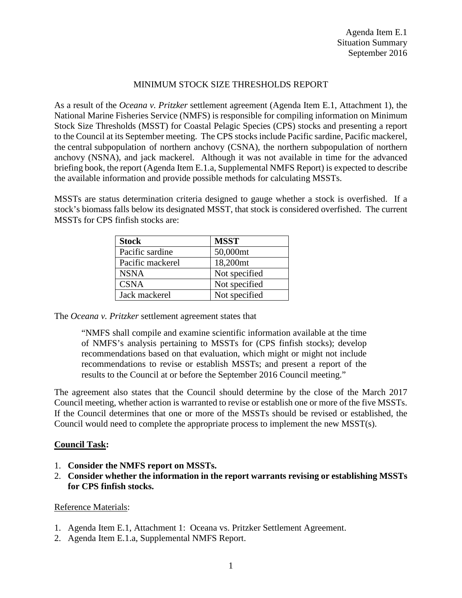## MINIMUM STOCK SIZE THRESHOLDS REPORT

As a result of the *Oceana v. Pritzker* settlement agreement (Agenda Item E.1, Attachment 1), the National Marine Fisheries Service (NMFS) is responsible for compiling information on Minimum Stock Size Thresholds (MSST) for Coastal Pelagic Species (CPS) stocks and presenting a report to the Council at its September meeting. The CPS stocks include Pacific sardine, Pacific mackerel, the central subpopulation of northern anchovy (CSNA), the northern subpopulation of northern anchovy (NSNA), and jack mackerel. Although it was not available in time for the advanced briefing book, the report (Agenda Item E.1.a, Supplemental NMFS Report) is expected to describe the available information and provide possible methods for calculating MSSTs.

MSSTs are status determination criteria designed to gauge whether a stock is overfished. If a stock's biomass falls below its designated MSST, that stock is considered overfished. The current MSSTs for CPS finfish stocks are:

| <b>Stock</b>     | <b>MSST</b>          |
|------------------|----------------------|
| Pacific sardine  | 50,000mt             |
| Pacific mackerel | 18,200 <sub>mt</sub> |
| <b>NSNA</b>      | Not specified        |
| <b>CSNA</b>      | Not specified        |
| Jack mackerel    | Not specified        |

The *Oceana v. Pritzker* settlement agreement states that

"NMFS shall compile and examine scientific information available at the time of NMFS's analysis pertaining to MSSTs for (CPS finfish stocks); develop recommendations based on that evaluation, which might or might not include recommendations to revise or establish MSSTs; and present a report of the results to the Council at or before the September 2016 Council meeting."

The agreement also states that the Council should determine by the close of the March 2017 Council meeting, whether action is warranted to revise or establish one or more of the five MSSTs. If the Council determines that one or more of the MSSTs should be revised or established, the Council would need to complete the appropriate process to implement the new MSST(s).

## **Council Task:**

- 1. **Consider the NMFS report on MSSTs.**
- 2. **Consider whether the information in the report warrants revising or establishing MSSTs for CPS finfish stocks.**

## Reference Materials:

- 1. Agenda Item E.1, Attachment 1: Oceana vs. Pritzker Settlement Agreement.
- 2. Agenda Item E.1.a, Supplemental NMFS Report.